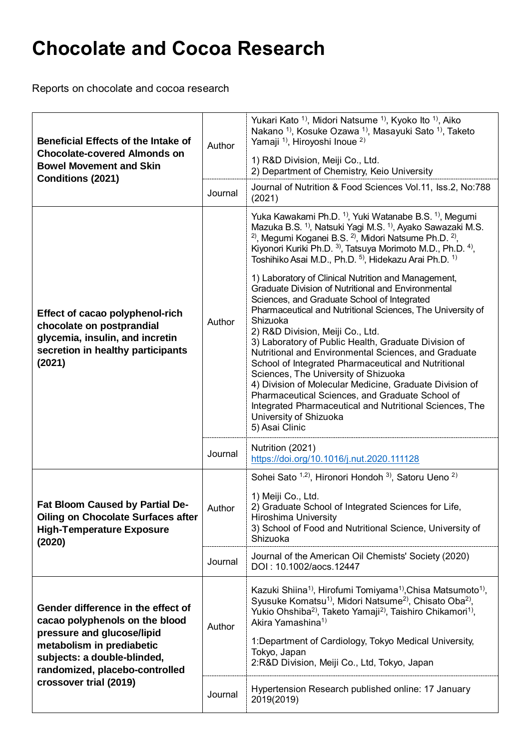## **Chocolate and Cocoa Research**

Reports on chocolate and cocoa research

| <b>Beneficial Effects of the Intake of</b><br><b>Chocolate-covered Almonds on</b><br><b>Bowel Movement and Skin</b><br>Conditions (2021)                                                                                   | Author  | Yukari Kato <sup>1</sup> , Midori Natsume <sup>1</sup> , Kyoko Ito <sup>1</sup> , Aiko<br>Nakano <sup>1</sup> , Kosuke Ozawa <sup>1</sup> , Masayuki Sato <sup>1</sup> , Taketo<br>Yamaji <sup>1)</sup> , Hiroyoshi Inoue <sup>2)</sup><br>1) R&D Division, Meiji Co., Ltd.<br>2) Department of Chemistry, Keio University                                                                                                                                                                                                                                                                                                                                                                                                                                                                                                                                                                                                                                                                                                                                                                                                  |
|----------------------------------------------------------------------------------------------------------------------------------------------------------------------------------------------------------------------------|---------|-----------------------------------------------------------------------------------------------------------------------------------------------------------------------------------------------------------------------------------------------------------------------------------------------------------------------------------------------------------------------------------------------------------------------------------------------------------------------------------------------------------------------------------------------------------------------------------------------------------------------------------------------------------------------------------------------------------------------------------------------------------------------------------------------------------------------------------------------------------------------------------------------------------------------------------------------------------------------------------------------------------------------------------------------------------------------------------------------------------------------------|
|                                                                                                                                                                                                                            | Journal | Journal of Nutrition & Food Sciences Vol.11, Iss.2, No:788<br>(2021)                                                                                                                                                                                                                                                                                                                                                                                                                                                                                                                                                                                                                                                                                                                                                                                                                                                                                                                                                                                                                                                        |
| Effect of cacao polyphenol-rich<br>chocolate on postprandial<br>glycemia, insulin, and incretin<br>secretion in healthy participants<br>(2021)                                                                             | Author  | Yuka Kawakami Ph.D. <sup>1)</sup> , Yuki Watanabe B.S. <sup>1)</sup> , Megumi<br>Mazuka B.S. <sup>1)</sup> , Natsuki Yagi M.S. <sup>1)</sup> , Ayako Sawazaki M.S.<br><sup>2)</sup> , Megumi Koganei B.S. <sup>2)</sup> , Midori Natsume Ph.D. <sup>2)</sup> ,<br>Kiyonori Kuriki Ph.D. <sup>3)</sup> , Tatsuya Morimoto M.D., Ph.D. <sup>4)</sup> ,<br>Toshihiko Asai M.D., Ph.D. 5), Hidekazu Arai Ph.D. 1)<br>1) Laboratory of Clinical Nutrition and Management,<br>Graduate Division of Nutritional and Environmental<br>Sciences, and Graduate School of Integrated<br>Pharmaceutical and Nutritional Sciences, The University of<br>Shizuoka<br>2) R&D Division, Meiji Co., Ltd.<br>3) Laboratory of Public Health, Graduate Division of<br>Nutritional and Environmental Sciences, and Graduate<br>School of Integrated Pharmaceutical and Nutritional<br>Sciences, The University of Shizuoka<br>4) Division of Molecular Medicine, Graduate Division of<br>Pharmaceutical Sciences, and Graduate School of<br>Integrated Pharmaceutical and Nutritional Sciences, The<br>University of Shizuoka<br>5) Asai Clinic |
|                                                                                                                                                                                                                            | Journal | Nutrition (2021)<br>https://doi.org/10.1016/j.nut.2020.111128                                                                                                                                                                                                                                                                                                                                                                                                                                                                                                                                                                                                                                                                                                                                                                                                                                                                                                                                                                                                                                                               |
| Fat Bloom Caused by Partial De-<br><b>Oiling on Chocolate Surfaces after</b><br><b>High-Temperature Exposure</b><br>(2020)                                                                                                 | Author  | Sohei Sato 1,2), Hironori Hondoh 3), Satoru Ueno 2)<br>1) Meiji Co., Ltd.<br>2) Graduate School of Integrated Sciences for Life,<br><b>Hiroshima University</b><br>3) School of Food and Nutritional Science, University of<br>Shizuoka                                                                                                                                                                                                                                                                                                                                                                                                                                                                                                                                                                                                                                                                                                                                                                                                                                                                                     |
|                                                                                                                                                                                                                            | Journal | Journal of the American Oil Chemists' Society (2020)<br>DOI: 10.1002/aocs.12447                                                                                                                                                                                                                                                                                                                                                                                                                                                                                                                                                                                                                                                                                                                                                                                                                                                                                                                                                                                                                                             |
| Gender difference in the effect of<br>cacao polyphenols on the blood<br>pressure and glucose/lipid<br>metabolism in prediabetic<br>subjects: a double-blinded,<br>randomized, placebo-controlled<br>crossover trial (2019) | Author  | Kazuki Shiina <sup>1)</sup> , Hirofumi Tomiyama <sup>1)</sup> , Chisa Matsumoto <sup>1)</sup> ,<br>Syusuke Komatsu <sup>1</sup> , Midori Natsume <sup>2</sup> , Chisato Oba <sup>2</sup> ,<br>Yukio Ohshiba <sup>2)</sup> , Taketo Yamaji <sup>2)</sup> , Taishiro Chikamori <sup>1)</sup> ,<br>Akira Yamashina <sup>1)</sup><br>1: Department of Cardiology, Tokyo Medical University,<br>Tokyo, Japan<br>2:R&D Division, Meiji Co., Ltd, Tokyo, Japan                                                                                                                                                                                                                                                                                                                                                                                                                                                                                                                                                                                                                                                                     |
|                                                                                                                                                                                                                            | Journal | Hypertension Research published online: 17 January<br>2019(2019)                                                                                                                                                                                                                                                                                                                                                                                                                                                                                                                                                                                                                                                                                                                                                                                                                                                                                                                                                                                                                                                            |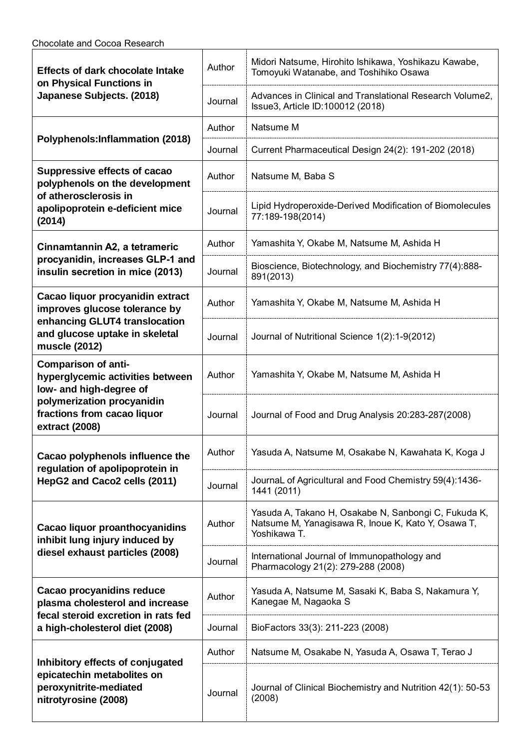| <b>Effects of dark chocolate Intake</b><br>on Physical Functions in<br>Japanese Subjects. (2018)                                                                         | Author  | Midori Natsume, Hirohito Ishikawa, Yoshikazu Kawabe,<br>Tomoyuki Watanabe, and Toshihiko Osawa                             |
|--------------------------------------------------------------------------------------------------------------------------------------------------------------------------|---------|----------------------------------------------------------------------------------------------------------------------------|
|                                                                                                                                                                          | Journal | Advances in Clinical and Translational Research Volume2,<br>Issue3, Article ID:100012 (2018)                               |
|                                                                                                                                                                          | Author  | Natsume M                                                                                                                  |
| Polyphenols: Inflammation (2018)                                                                                                                                         | Journal | Current Pharmaceutical Design 24(2): 191-202 (2018)                                                                        |
| Suppressive effects of cacao<br>polyphenols on the development<br>of atherosclerosis in<br>apolipoprotein e-deficient mice<br>(2014)                                     | Author  | Natsume M, Baba S                                                                                                          |
|                                                                                                                                                                          | Journal | Lipid Hydroperoxide-Derived Modification of Biomolecules<br>77:189-198(2014)                                               |
| Cinnamtannin A2, a tetrameric<br>procyanidin, increases GLP-1 and<br>insulin secretion in mice (2013)                                                                    | Author  | Yamashita Y, Okabe M, Natsume M, Ashida H                                                                                  |
|                                                                                                                                                                          | Journal | Bioscience, Biotechnology, and Biochemistry 77(4):888-<br>891(2013)                                                        |
| Cacao liquor procyanidin extract<br>improves glucose tolerance by<br>enhancing GLUT4 translocation<br>and glucose uptake in skeletal<br>muscle (2012)                    | Author  | Yamashita Y, Okabe M, Natsume M, Ashida H                                                                                  |
|                                                                                                                                                                          | Journal | Journal of Nutritional Science 1(2):1-9(2012)                                                                              |
| <b>Comparison of anti-</b><br>hyperglycemic activities between<br>low- and high-degree of<br>polymerization procyanidin<br>fractions from cacao liquor<br>extract (2008) | Author  | Yamashita Y, Okabe M, Natsume M, Ashida H                                                                                  |
|                                                                                                                                                                          | Journal | Journal of Food and Drug Analysis 20:283-287(2008)                                                                         |
| Cacao polyphenols influence the<br>regulation of apolipoprotein in<br>HepG2 and Caco2 cells (2011)                                                                       | Author  | Yasuda A, Natsume M, Osakabe N, Kawahata K, Koga J                                                                         |
|                                                                                                                                                                          | Journal | JournaL of Agricultural and Food Chemistry 59(4):1436-<br>1441 (2011)                                                      |
| Cacao liquor proanthocyanidins<br>inhibit lung injury induced by<br>diesel exhaust particles (2008)                                                                      | Author  | Yasuda A, Takano H, Osakabe N, Sanbongi C, Fukuda K,<br>Natsume M, Yanagisawa R, Inoue K, Kato Y, Osawa T,<br>Yoshikawa T. |
|                                                                                                                                                                          | Journal | International Journal of Immunopathology and<br>Pharmacology 21(2): 279-288 (2008)                                         |
| Cacao procyanidins reduce<br>plasma cholesterol and increase<br>fecal steroid excretion in rats fed<br>a high-cholesterol diet (2008)                                    | Author  | Yasuda A, Natsume M, Sasaki K, Baba S, Nakamura Y,<br>Kanegae M, Nagaoka S                                                 |
|                                                                                                                                                                          | Journal | BioFactors 33(3): 211-223 (2008)                                                                                           |
| Inhibitory effects of conjugated<br>epicatechin metabolites on<br>peroxynitrite-mediated<br>nitrotyrosine (2008)                                                         | Author  | Natsume M, Osakabe N, Yasuda A, Osawa T, Terao J                                                                           |
|                                                                                                                                                                          | Journal | Journal of Clinical Biochemistry and Nutrition 42(1): 50-53<br>(2008)                                                      |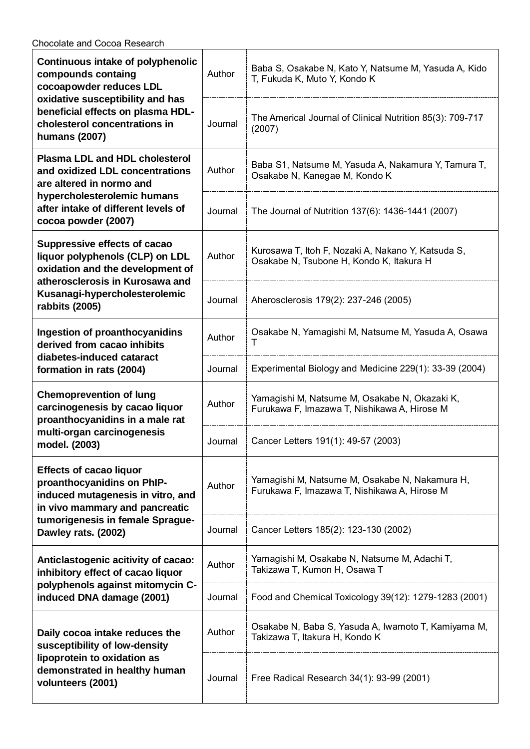Chocolate and Cocoa Research

| Continuous intake of polyphenolic<br>compounds containg<br>cocoapowder reduces LDL<br>oxidative susceptibility and has<br>beneficial effects on plasma HDL-<br>cholesterol concentrations in<br>humans (2007) | Author  | Baba S, Osakabe N, Kato Y, Natsume M, Yasuda A, Kido<br>T, Fukuda K, Muto Y, Kondo K           |
|---------------------------------------------------------------------------------------------------------------------------------------------------------------------------------------------------------------|---------|------------------------------------------------------------------------------------------------|
|                                                                                                                                                                                                               | Journal | The Americal Journal of Clinical Nutrition 85(3): 709-717<br>(2007)                            |
| <b>Plasma LDL and HDL cholesterol</b><br>and oxidized LDL concentrations<br>are altered in normo and<br>hypercholesterolemic humans<br>after intake of different levels of<br>cocoa powder (2007)             | Author  | Baba S1, Natsume M, Yasuda A, Nakamura Y, Tamura T,<br>Osakabe N, Kanegae M, Kondo K           |
|                                                                                                                                                                                                               | Journal | The Journal of Nutrition 137(6): 1436-1441 (2007)                                              |
| Suppressive effects of cacao<br>liquor polyphenols (CLP) on LDL<br>oxidation and the development of<br>atherosclerosis in Kurosawa and<br>Kusanagi-hypercholesterolemic<br>rabbits (2005)                     | Author  | Kurosawa T, Itoh F, Nozaki A, Nakano Y, Katsuda S,<br>Osakabe N, Tsubone H, Kondo K, Itakura H |
|                                                                                                                                                                                                               | Journal | Aherosclerosis 179(2): 237-246 (2005)                                                          |
| Ingestion of proanthocyanidins<br>derived from cacao inhibits<br>diabetes-induced cataract<br>formation in rats (2004)                                                                                        | Author  | Osakabe N, Yamagishi M, Natsume M, Yasuda A, Osawa<br>т                                        |
|                                                                                                                                                                                                               | Journal | Experimental Biology and Medicine 229(1): 33-39 (2004)                                         |
| <b>Chemoprevention of lung</b><br>carcinogenesis by cacao liquor<br>proanthocyanidins in a male rat<br>multi-organ carcinogenesis<br>model. (2003)                                                            | Author  | Yamagishi M, Natsume M, Osakabe N, Okazaki K,<br>Furukawa F, Imazawa T, Nishikawa A, Hirose M  |
|                                                                                                                                                                                                               | Journal | Cancer Letters 191(1): 49-57 (2003)                                                            |
| <b>Effects of cacao liquor</b><br>proanthocyanidins on PhIP-<br>induced mutagenesis in vitro, and<br>in vivo mammary and pancreatic<br>tumorigenesis in female Sprague-<br>Dawley rats. (2002)                | Author  | Yamagishi M, Natsume M, Osakabe N, Nakamura H,<br>Furukawa F, Imazawa T, Nishikawa A, Hirose M |
|                                                                                                                                                                                                               | Journal | Cancer Letters 185(2): 123-130 (2002)                                                          |
| Anticlastogenic acitivity of cacao:<br>inhibitory effect of cacao liquor<br>polyphenols against mitomycin C-<br>induced DNA damage (2001)                                                                     | Author  | Yamagishi M, Osakabe N, Natsume M, Adachi T,<br>Takizawa T, Kumon H, Osawa T                   |
|                                                                                                                                                                                                               | Journal | Food and Chemical Toxicology 39(12): 1279-1283 (2001)                                          |
| Daily cocoa intake reduces the<br>susceptibility of low-density<br>lipoprotein to oxidation as<br>demonstrated in healthy human<br>volunteers (2001)                                                          | Author  | Osakabe N, Baba S, Yasuda A, Iwamoto T, Kamiyama M,<br>Takizawa T, Itakura H, Kondo K          |
|                                                                                                                                                                                                               | Journal | Free Radical Research 34(1): 93-99 (2001)                                                      |